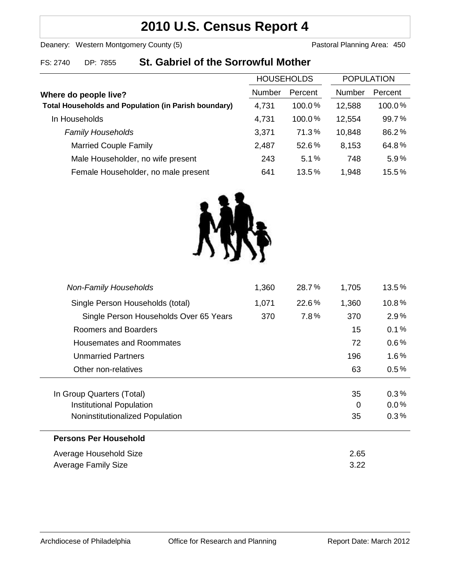# **2010 U.S. Census Report 4**

Deanery: Western Montgomery County (5) Deanery: Western Montgomery County (5)

### FS: 2740 DP: 7855 **St. Gabriel of the Sorrowful Mother**

|                                                             | <b>HOUSEHOLDS</b> |           | <b>POPULATION</b> |         |
|-------------------------------------------------------------|-------------------|-----------|-------------------|---------|
| Where do people live?                                       | Number            | Percent   | <b>Number</b>     | Percent |
| <b>Total Households and Population (in Parish boundary)</b> | 4,731             | $100.0\%$ | 12,588            | 100.0%  |
| In Households                                               | 4,731             | $100.0\%$ | 12,554            | 99.7%   |
| <b>Family Households</b>                                    | 3,371             | 71.3%     | 10,848            | 86.2%   |
| <b>Married Couple Family</b>                                | 2,487             | 52.6%     | 8,153             | 64.8%   |
| Male Householder, no wife present                           | 243               | 5.1%      | 748               | 5.9%    |
| Female Householder, no male present                         | 641               | 13.5%     | 1,948             | 15.5%   |



| <b>Non-Family Households</b>           | 1,360 | 28.7% | 1,705 | 13.5%   |
|----------------------------------------|-------|-------|-------|---------|
| Single Person Households (total)       | 1,071 | 22.6% | 1,360 | 10.8%   |
| Single Person Households Over 65 Years | 370   | 7.8%  | 370   | 2.9%    |
| Roomers and Boarders                   |       |       | 15    | 0.1%    |
| Housemates and Roommates               |       |       | 72    | $0.6\%$ |
| <b>Unmarried Partners</b>              |       |       | 196   | $1.6\%$ |
| Other non-relatives                    |       |       | 63    | 0.5%    |
|                                        |       |       |       |         |
| In Group Quarters (Total)              |       |       | 35    | $0.3\%$ |
| Institutional Population               |       |       | 0     | 0.0%    |
| Noninstitutionalized Population        |       |       | 35    | $0.3\%$ |
| <b>Persons Per Household</b>           |       |       |       |         |
| Average Household Size                 |       |       | 2.65  |         |
| Average Family Size                    |       |       | 3.22  |         |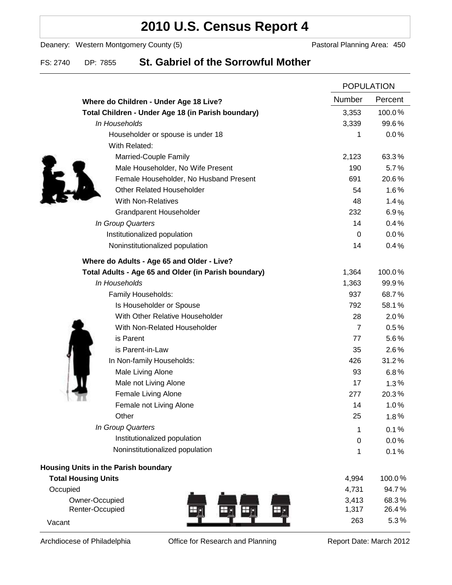# **2010 U.S. Census Report 4**

Deanery: Western Montgomery County (5) Deanery: Western Montgomery County (5)

### FS: 2740 DP: 7855 **St. Gabriel of the Sorrowful Mother**

|                                                      |                | <b>POPULATION</b> |  |
|------------------------------------------------------|----------------|-------------------|--|
| Where do Children - Under Age 18 Live?               | Number         | Percent           |  |
| Total Children - Under Age 18 (in Parish boundary)   | 3,353          | 100.0%            |  |
| In Households                                        | 3,339          | 99.6%             |  |
| Householder or spouse is under 18                    | 1              | 0.0%              |  |
| With Related:                                        |                |                   |  |
| Married-Couple Family                                | 2,123          | 63.3%             |  |
| Male Householder, No Wife Present                    | 190            | 5.7%              |  |
| Female Householder, No Husband Present               | 691            | 20.6%             |  |
| <b>Other Related Householder</b>                     | 54             | 1.6%              |  |
| <b>With Non-Relatives</b>                            | 48             | 1.4%              |  |
| Grandparent Householder                              | 232            | 6.9%              |  |
| In Group Quarters                                    | 14             | 0.4%              |  |
| Institutionalized population                         | 0              | 0.0%              |  |
| Noninstitutionalized population                      | 14             | 0.4%              |  |
| Where do Adults - Age 65 and Older - Live?           |                |                   |  |
| Total Adults - Age 65 and Older (in Parish boundary) | 1,364          | 100.0%            |  |
| In Households                                        | 1,363          | 99.9%             |  |
| Family Households:                                   | 937            | 68.7%             |  |
| Is Householder or Spouse                             | 792            | 58.1%             |  |
| With Other Relative Householder                      | 28             | 2.0%              |  |
| With Non-Related Householder                         | $\overline{7}$ | 0.5%              |  |
| is Parent                                            | 77             | 5.6%              |  |
| is Parent-in-Law                                     | 35             | $2.6\%$           |  |
| In Non-family Households:                            | 426            | 31.2%             |  |
| Male Living Alone                                    | 93             | 6.8%              |  |
| Male not Living Alone                                | 17             | 1.3%              |  |
| Female Living Alone                                  | 277            | 20.3%             |  |
| Female not Living Alone                              | 14             | 1.0%              |  |
| Other                                                | 25             | 1.8%              |  |
| In Group Quarters                                    | 1              | 0.1%              |  |
| Institutionalized population                         | $\mathbf 0$    | 0.0%              |  |
| Noninstitutionalized population                      | 1              | 0.1%              |  |
| <b>Housing Units in the Parish boundary</b>          |                |                   |  |
| <b>Total Housing Units</b>                           | 4,994          | 100.0%            |  |
| Occupied                                             | 4,731          | 94.7%             |  |
| Owner-Occupied                                       | 3,413          | 68.3%             |  |
| Renter-Occupied                                      | 1,317          | 26.4%             |  |
| Vacant                                               | 263            | 5.3%              |  |

Archdiocese of Philadelphia **Office for Research and Planning** Report Date: March 2012